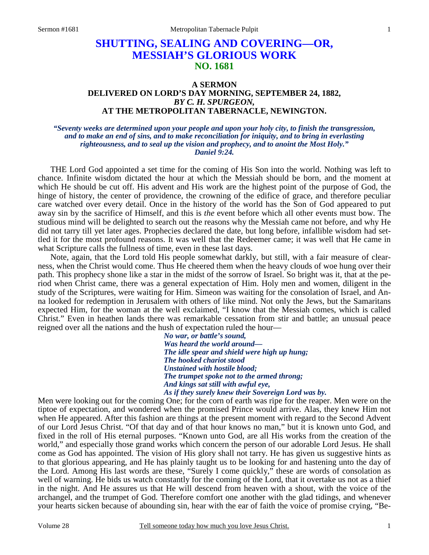# **SHUTTING, SEALING AND COVERING—OR, MESSIAH'S GLORIOUS WORK NO. 1681**

### **A SERMON DELIVERED ON LORD'S DAY MORNING, SEPTEMBER 24, 1882,**  *BY C. H. SPURGEON,*  **AT THE METROPOLITAN TABERNACLE, NEWINGTON.**

#### *"Seventy weeks are determined upon your people and upon your holy city, to finish the transgression, and to make an end of sins, and to make reconciliation for iniquity, and to bring in everlasting righteousness, and to seal up the vision and prophecy, and to anoint the Most Holy." Daniel 9:24.*

THE Lord God appointed a set time for the coming of His Son into the world. Nothing was left to chance. Infinite wisdom dictated the hour at which the Messiah should be born, and the moment at which He should be cut off. His advent and His work are the highest point of the purpose of God, the hinge of history, the center of providence, the crowning of the edifice of grace, and therefore peculiar care watched over every detail. Once in the history of the world has the Son of God appeared to put away sin by the sacrifice of Himself, and this is *the* event before which all other events must bow. The studious mind will be delighted to search out the reasons why the Messiah came not before, and why He did not tarry till yet later ages. Prophecies declared the date, but long before, infallible wisdom had settled it for the most profound reasons. It was well that the Redeemer came; it was well that He came in what Scripture calls the fullness of time, even in these last days.

 Note, again, that the Lord told His people somewhat darkly, but still, with a fair measure of clearness, when the Christ would come. Thus He cheered them when the heavy clouds of woe hung over their path. This prophecy shone like a star in the midst of the sorrow of Israel. So bright was it, that at the period when Christ came, there was a general expectation of Him. Holy men and women, diligent in the study of the Scriptures, were waiting for Him. Simeon was waiting for the consolation of Israel, and Anna looked for redemption in Jerusalem with others of like mind. Not only the Jews, but the Samaritans expected Him, for the woman at the well exclaimed, "I know that the Messiah comes, which is called Christ." Even in heathen lands there was remarkable cessation from stir and battle; an unusual peace reigned over all the nations and the hush of expectation ruled the hour—

> *No war, or battle's sound, Was heard the world around— The idle spear and shield were high up hung; The hooked chariot stood Unstained with hostile blood; The trumpet spoke not to the armed throng; And kings sat still with awful eye, As if they surely knew their Sovereign Lord was by.*

Men were looking out for the coming One; for the corn of earth was ripe for the reaper. Men were on the tiptoe of expectation, and wondered when the promised Prince would arrive. Alas, they knew Him not when He appeared. After this fashion are things at the present moment with regard to the Second Advent of our Lord Jesus Christ. "Of that day and of that hour knows no man," but it is known unto God, and fixed in the roll of His eternal purposes. "Known unto God, are all His works from the creation of the world," and especially those grand works which concern the person of our adorable Lord Jesus. He shall come as God has appointed. The vision of His glory shall not tarry. He has given us suggestive hints as to that glorious appearing, and He has plainly taught us to be looking for and hastening unto the day of the Lord. Among His last words are these, "Surely I come quickly," these are words of consolation as well of warning. He bids us watch constantly for the coming of the Lord, that it overtake us not as a thief in the night. And He assures us that He will descend from heaven with a shout, with the voice of the archangel, and the trumpet of God. Therefore comfort one another with the glad tidings, and whenever your hearts sicken because of abounding sin, hear with the ear of faith the voice of promise crying, "Be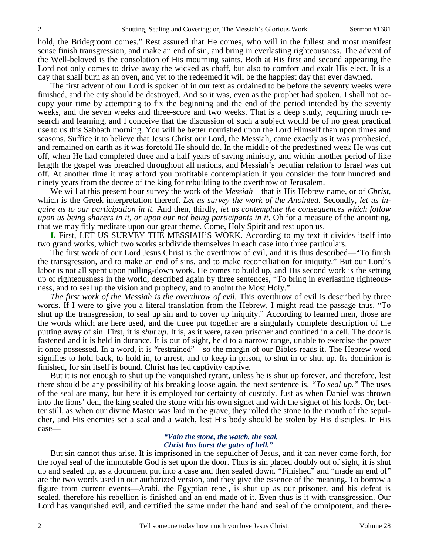hold, the Bridegroom comes." Rest assured that He comes, who will in the fullest and most manifest sense finish transgression, and make an end of sin, and bring in everlasting righteousness. The advent of the Well-beloved is the consolation of His mourning saints. Both at His first and second appearing the Lord not only comes to drive away the wicked as chaff, but also to comfort and exalt His elect. It is a day that shall burn as an oven, and yet to the redeemed it will be the happiest day that ever dawned.

 The first advent of our Lord is spoken of in our text as ordained to be before the seventy weeks were finished, and the city should be destroyed. And so it was, even as the prophet had spoken. I shall not occupy your time by attempting to fix the beginning and the end of the period intended by the seventy weeks, and the seven weeks and three-score and two weeks. That is a deep study, requiring much research and learning, and I conceive that the discussion of such a subject would be of no great practical use to us this Sabbath morning. You will be better nourished upon the Lord Himself than upon times and seasons. Suffice it to believe that Jesus Christ our Lord, the Messiah, came exactly as it was prophesied, and remained on earth as it was foretold He should do. In the middle of the predestined week He was cut off, when He had completed three and a half years of saving ministry, and within another period of like length the gospel was preached throughout all nations, and Messiah's peculiar relation to Israel was cut off. At another time it may afford you profitable contemplation if you consider the four hundred and ninety years from the decree of the king for rebuilding to the overthrow of Jerusalem.

 We will at this present hour survey the work of the *Messiah*—that is His Hebrew name, or of *Christ,* which is the Greek interpretation thereof. Let us survey the work of the Anointed. Secondly, let us in*quire as to our participation in it.* And then, thirdly, *let us contemplate the consequences which follow upon us being sharers in it, or upon our not being participants in it.* Oh for a measure of the anointing, that we may fitly meditate upon our great theme. Come, Holy Spirit and rest upon us.

**I.** First, LET US SURVEY THE MESSIAH'S WORK. According to my text it divides itself into two grand works, which two works subdivide themselves in each case into three particulars.

 The first work of our Lord Jesus Christ is the overthrow of evil, and it is thus described—"To finish the transgression, and to make an end of sins, and to make reconciliation for iniquity." But our Lord's labor is not all spent upon pulling-down work. He comes to build up, and His second work is the setting up of righteousness in the world, described again by three sentences, "To bring in everlasting righteousness, and to seal up the vision and prophecy, and to anoint the Most Holy."

*The first work of the Messiah is the overthrow of evil.* This overthrow of evil is described by three words. If I were to give you a literal translation from the Hebrew, I might read the passage thus, "To shut up the transgression, to seal up sin and to cover up iniquity." According to learned men, those are the words which are here used, and the three put together are a singularly complete description of the putting away of sin. First, it is *shut up*. It is, as it were, taken prisoner and confined in a cell. The door is fastened and it is held in durance. It is out of sight, held to a narrow range, unable to exercise the power it once possessed. In a word, it is "restrained"—so the margin of our Bibles reads it. The Hebrew word signifies to hold back, to hold in, to arrest, and to keep in prison, to shut in or shut up. Its dominion is finished, for sin itself is bound. Christ has led captivity captive.

 But it is not enough to shut up the vanquished tyrant, unless he is shut up forever, and therefore, lest there should be any possibility of his breaking loose again, the next sentence is, *"To seal up."* The uses of the seal are many, but here it is employed for certainty of custody. Just as when Daniel was thrown into the lions' den, the king sealed the stone with his own signet and with the signet of his lords. Or, better still, as when our divine Master was laid in the grave, they rolled the stone to the mouth of the sepulcher, and His enemies set a seal and a watch, lest His body should be stolen by His disciples. In His case—

#### *"Vain the stone, the watch, the seal, Christ has burst the gates of hell."*

 But sin cannot thus arise. It is imprisoned in the sepulcher of Jesus, and it can never come forth, for the royal seal of the immutable God is set upon the door. Thus is sin placed doubly out of sight, it is shut up and sealed up, as a document put into a case and then sealed down. "Finished" and "made an end of" are the two words used in our authorized version, and they give the essence of the meaning. To borrow a figure from current events—Arabi, the Egyptian rebel, is shut up as our prisoner, and his defeat is sealed, therefore his rebellion is finished and an end made of it. Even thus is it with transgression. Our Lord has vanquished evil, and certified the same under the hand and seal of the omnipotent, and there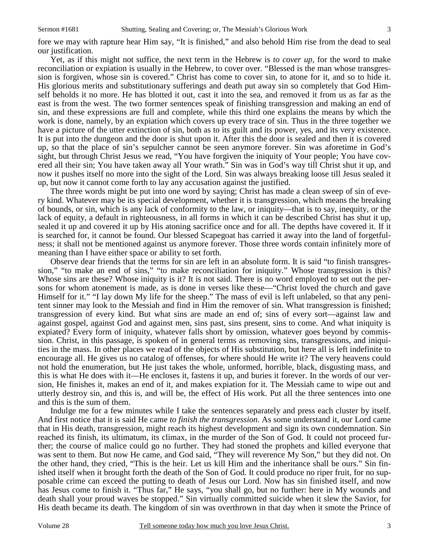fore we may with rapture hear Him say, "It is finished," and also behold Him rise from the dead to seal our justification.

 Yet, as if this might not suffice, the next term in the Hebrew is *to cover up,* for the word to make reconciliation or expiation is usually in the Hebrew, to cover over. "Blessed is the man whose transgression is forgiven, whose sin is covered." Christ has come to cover sin, to atone for it, and so to hide it. His glorious merits and substitutionary sufferings and death put away sin so completely that God Himself beholds it no more. He has blotted it out, cast it into the sea, and removed it from us as far as the east is from the west. The two former sentences speak of finishing transgression and making an end of sin, and these expressions are full and complete, while this third one explains the means by which the work is done, namely, by an expiation which covers up every trace of sin. Thus in the three together we have a picture of the utter extinction of sin, both as to its guilt and its power, yes, and its very existence. It is put into the dungeon and the door is shut upon it. After this the door is sealed and then it is covered up, so that the place of sin's sepulcher cannot be seen anymore forever. Sin was aforetime in God's sight, but through Christ Jesus we read, "You have forgiven the iniquity of Your people; You have covered all their sin; You have taken away all Your wrath." Sin was in God's way till Christ shut it up, and now it pushes itself no more into the sight of the Lord. Sin was always breaking loose till Jesus sealed it up, but now it cannot come forth to lay any accusation against the justified.

 The three words might be put into one word by saying; Christ has made a clean sweep of sin of every kind. Whatever may be its special development, whether it is transgression, which means the breaking of bounds, or sin, which is any lack of conformity to the law, or iniquity—that is to say, inequity, or the lack of equity, a default in righteousness, in all forms in which it can be described Christ has shut it up, sealed it up and covered it up by His atoning sacrifice once and for all. The depths have covered it. If it is searched for, it cannot be found. Our blessed Scapegoat has carried it away into the land of forgetfulness; it shall not be mentioned against us anymore forever. Those three words contain infinitely more of meaning than I have either space or ability to set forth.

 Observe dear friends that the terms for sin are left in an absolute form. It is said "to finish transgression," "to make an end of sins," "to make reconciliation for iniquity." Whose transgression is this? Whose sins are these? Whose iniquity is it? It is not said. There is no word employed to set out the persons for whom atonement is made, as is done in verses like these—"Christ loved the church and gave Himself for it." "I lay down My life for the sheep." The mass of evil is left unlabeled, so that any penitent sinner may look to the Messiah and find in Him the remover of sin. What transgression is finished; transgression of every kind. But what sins are made an end of; sins of every sort—against law and against gospel, against God and against men, sins past, sins present, sins to come. And what iniquity is expiated? Every form of iniquity, whatever falls short by omission, whatever goes beyond by commission. Christ, in this passage, is spoken of in general terms as removing sins, transgressions, and iniquities in the mass. In other places we read of the objects of His substitution, but here all is left indefinite to encourage all. He gives us no catalog of offenses, for where should He write it? The very heavens could not hold the enumeration, but He just takes the whole, unformed, horrible, black, disgusting mass, and this is what He does with it—He encloses it, fastens it up, and buries it forever. In the words of our version, He finishes it, makes an end of it, and makes expiation for it. The Messiah came to wipe out and utterly destroy sin, and this is, and will be, the effect of His work. Put all the three sentences into one and this is the sum of them.

 Indulge me for a few minutes while I take the sentences separately and press each cluster by itself. And first notice that it is said He came *to finish the transgression*. As some understand it, our Lord came that in His death, transgression, might reach its highest development and sign its own condemnation. Sin reached its finish, its ultimatum, its climax, in the murder of the Son of God. It could not proceed further; the course of malice could go no further. They had stoned the prophets and killed everyone that was sent to them. But now He came, and God said, "They will reverence My Son," but they did not. On the other hand, they cried, "This is the heir. Let us kill Him and the inheritance shall be ours." Sin finished itself when it brought forth the death of the Son of God. It could produce no riper fruit, for no supposable crime can exceed the putting to death of Jesus our Lord. Now has sin finished itself, and now has Jesus come to finish it. "Thus far," He says, "you shall go, but no further: here in My wounds and death shall your proud waves be stopped." Sin virtually committed suicide when it slew the Savior, for His death became its death. The kingdom of sin was overthrown in that day when it smote the Prince of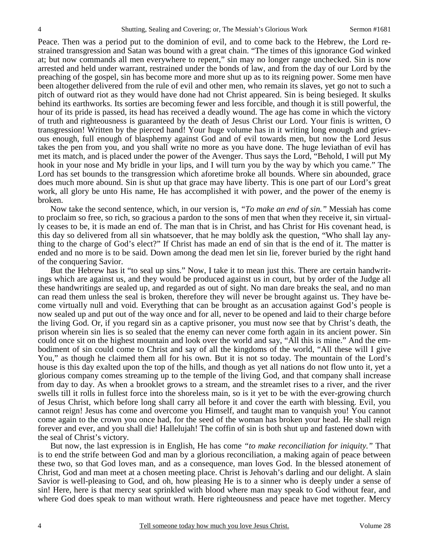Peace. Then was a period put to the dominion of evil, and to come back to the Hebrew, the Lord restrained transgression and Satan was bound with a great chain. "The times of this ignorance God winked at; but now commands all men everywhere to repent," sin may no longer range unchecked. Sin is now arrested and held under warrant, restrained under the bonds of law, and from the day of our Lord by the preaching of the gospel, sin has become more and more shut up as to its reigning power. Some men have been altogether delivered from the rule of evil and other men, who remain its slaves, yet go not to such a pitch of outward riot as they would have done had not Christ appeared. Sin is being besieged. It skulks behind its earthworks. Its sorties are becoming fewer and less forcible, and though it is still powerful, the hour of its pride is passed, its head has received a deadly wound. The age has come in which the victory of truth and righteousness is guaranteed by the death of Jesus Christ our Lord. Your finis is written, O transgression! Written by the pierced hand! Your huge volume has in it writing long enough and grievous enough, full enough of blasphemy against God and of evil towards men, but now the Lord Jesus takes the pen from you, and you shall write no more as you have done. The huge leviathan of evil has met its match, and is placed under the power of the Avenger. Thus says the Lord, "Behold, I will put My hook in your nose and My bridle in your lips, and I will turn you by the way by which you came." The Lord has set bounds to the transgression which aforetime broke all bounds. Where sin abounded, grace does much more abound. Sin is shut up that grace may have liberty. This is one part of our Lord's great work, all glory be unto His name, He has accomplished it with power, and the power of the enemy is broken.

 Now take the second sentence, which, in our version is, *"To make an end of sin."* Messiah has come to proclaim so free, so rich, so gracious a pardon to the sons of men that when they receive it, sin virtually ceases to be, it is made an end of. The man that is in Christ, and has Christ for His covenant head, is this day so delivered from all sin whatsoever, that he may boldly ask the question, "Who shall lay anything to the charge of God's elect?" If Christ has made an end of sin that is the end of it. The matter is ended and no more is to be said. Down among the dead men let sin lie, forever buried by the right hand of the conquering Savior.

But the Hebrew has it "to seal up sins." Now, I take it to mean just this. There are certain handwritings which are against us, and they would be produced against us in court, but by order of the Judge all these handwritings are sealed up, and regarded as out of sight. No man dare breaks the seal, and no man can read them unless the seal is broken, therefore they will never be brought against us. They have become virtually null and void. Everything that can be brought as an accusation against God's people is now sealed up and put out of the way once and for all, never to be opened and laid to their charge before the living God. Or, if you regard sin as a captive prisoner, you must now see that by Christ's death, the prison wherein sin lies is so sealed that the enemy can never come forth again in its ancient power. Sin could once sit on the highest mountain and look over the world and say, "All this is mine." And the embodiment of sin could come to Christ and say of all the kingdoms of the world, "All these will I give You," as though he claimed them all for his own. But it is not so today. The mountain of the Lord's house is this day exalted upon the top of the hills, and though as yet all nations do not flow unto it, yet a glorious company comes streaming up to the temple of the living God, and that company shall increase from day to day. As when a brooklet grows to a stream, and the streamlet rises to a river, and the river swells till it rolls in fullest force into the shoreless main, so is it yet to be with the ever-growing church of Jesus Christ, which before long shall carry all before it and cover the earth with blessing. Evil, you cannot reign! Jesus has come and overcome you Himself, and taught man to vanquish you! You cannot come again to the crown you once had, for the seed of the woman has broken your head. He shall reign forever and ever, and you shall die! Hallelujah! The coffin of sin is both shut up and fastened down with the seal of Christ's victory.

 But now, the last expression is in English, He has come *"to make reconciliation for iniquity."* That is to end the strife between God and man by a glorious reconciliation, a making again of peace between these two, so that God loves man, and as a consequence, man loves God. In the blessed atonement of Christ, God and man meet at a chosen meeting place. Christ is Jehovah's darling and our delight. A slain Savior is well-pleasing to God, and oh, how pleasing He is to a sinner who is deeply under a sense of sin! Here, here is that mercy seat sprinkled with blood where man may speak to God without fear, and where God does speak to man without wrath. Here righteousness and peace have met together. Mercy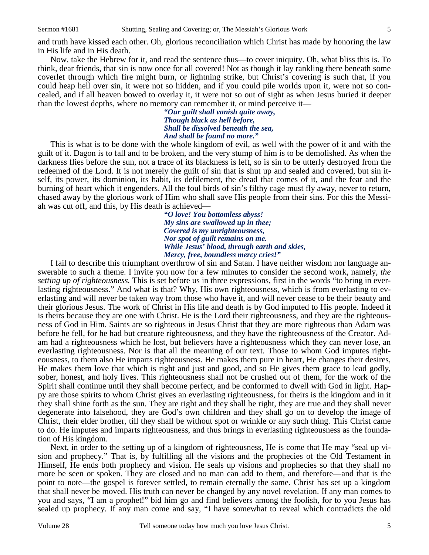and truth have kissed each other. Oh, glorious reconciliation which Christ has made by honoring the law in His life and in His death.

 Now, take the Hebrew for it, and read the sentence thus—to cover iniquity. Oh, what bliss this is. To think, dear friends, that sin is now once for all covered! Not as though it lay rankling there beneath some coverlet through which fire might burn, or lightning strike, but Christ's covering is such that, if you could heap hell over sin, it were not so hidden, and if you could pile worlds upon it, were not so concealed, and if all heaven bowed to overlay it, it were not so out of sight as when Jesus buried it deeper than the lowest depths, where no memory can remember it, or mind perceive it—

> *"Our guilt shall vanish quite away, Though black as hell before, Shall be dissolved beneath the sea, And shall be found no more."*

 This is what is to be done with the whole kingdom of evil, as well with the power of it and with the guilt of it. Dagon is to fall and to be broken, and the very stump of him is to be demolished. As when the darkness flies before the sun, not a trace of its blackness is left, so is sin to be utterly destroyed from the redeemed of the Lord. It is not merely the guilt of sin that is shut up and sealed and covered, but sin itself, its power, its dominion, its habit, its defilement, the dread that comes of it, and the fear and the burning of heart which it engenders. All the foul birds of sin's filthy cage must fly away, never to return, chased away by the glorious work of Him who shall save His people from their sins. For this the Messiah was cut off, and this, by His death is achieved—

> *"O love! You bottomless abyss! My sins are swallowed up in thee; Covered is my unrighteousness, Nor spot of guilt remains on me. While Jesus' blood, through earth and skies, Mercy, free, boundless mercy cries!"*

I fail to describe this triumphant overthrow of sin and Satan. I have neither wisdom nor language answerable to such a theme. I invite you now for a few minutes to consider the second work, namely, *the setting up of righteousness.* This is set before us in three expressions, first in the words "to bring in everlasting righteousness." And what is that? Why, His own righteousness, which is from everlasting to everlasting and will never be taken way from those who have it, and will never cease to be their beauty and their glorious Jesus. The work of Christ in His life and death is by God imputed to His people. Indeed it is theirs because they are one with Christ. He is the Lord their righteousness, and they are the righteousness of God in Him. Saints are so righteous in Jesus Christ that they are more righteous than Adam was before he fell, for he had but creature righteousness, and they have the righteousness of the Creator. Adam had a righteousness which he lost, but believers have a righteousness which they can never lose, an everlasting righteousness. Nor is that all the meaning of our text. Those to whom God imputes righteousness, to them also He imparts righteousness. He makes them pure in heart, He changes their desires, He makes them love that which is right and just and good, and so He gives them grace to lead godly, sober, honest, and holy lives. This righteousness shall not be crushed out of them, for the work of the Spirit shall continue until they shall become perfect, and be conformed to dwell with God in light. Happy are those spirits to whom Christ gives an everlasting righteousness, for theirs is the kingdom and in it they shall shine forth as the sun. They are right and they shall be right, they are true and they shall never degenerate into falsehood, they are God's own children and they shall go on to develop the image of Christ, their elder brother, till they shall be without spot or wrinkle or any such thing. This Christ came to do. He imputes and imparts righteousness, and thus brings in everlasting righteousness as the foundation of His kingdom.

 Next, in order to the setting up of a kingdom of righteousness, He is come that He may "seal up vision and prophecy." That is, by fulfilling all the visions and the prophecies of the Old Testament in Himself, He ends both prophecy and vision. He seals up visions and prophecies so that they shall no more be seen or spoken. They are closed and no man can add to them, and therefore—and that is the point to note—the gospel is forever settled, to remain eternally the same. Christ has set up a kingdom that shall never be moved. His truth can never be changed by any novel revelation. If any man comes to you and says, "I am a prophet!" bid him go and find believers among the foolish, for to you Jesus has sealed up prophecy. If any man come and say, "I have somewhat to reveal which contradicts the old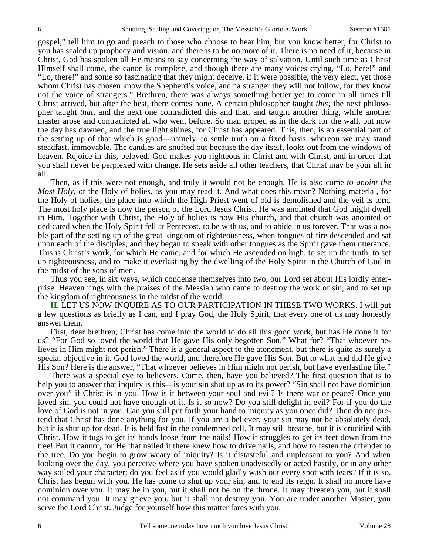gospel," tell him to go and preach to those who choose to hear him, but you know better, for Christ to you has sealed up prophecy and vision, and there is to be no more of it. There is no need of it, because in Christ, God has spoken all He means to say concerning the way of salvation. Until such time as Christ Himself shall come, the canon is complete, and though there are many voices crying, "Lo, here!" and "Lo, there!" and some so fascinating that they might deceive, if it were possible, the very elect, yet those whom Christ has chosen know the Shepherd's voice, and "a stranger they will not follow, for they know not the voice of strangers." Brethren, there was always something better yet to come in all times till Christ arrived, but after the best, there comes none. A certain philosopher taught *this;* the next philosopher taught *that,* and the next one contradicted this and that, and taught another thing, while another master arose and contradicted all who went before. So man groped as in the dark for the wall, but now the day has dawned, and the true light shines, for Christ has appeared. This, then, is an essential part of the setting up of that which is good—namely, to settle truth on a fixed basis, whereon we may stand steadfast, immovable. The candles are snuffed out because the day itself, looks out from the windows of heaven. Rejoice in this, beloved. God makes you righteous in Christ and with Christ, and in order that you shall never be perplexed with change, He sets aside all other teachers, that Christ may be your all in all.

 Then, as if this were not enough, and truly it would not be enough, He is also come *to anoint the Most Holy,* or the Holy of holies, as you may read it. And what does this mean? Nothing material, for the Holy of holies, the place into which the High Priest went of old is demolished and the veil is torn. The most holy place is now the person of the Lord Jesus Christ. He was anointed that God might dwell in Him. Together with Christ, the Holy of holies is now His church, and that church was anointed or dedicated when the Holy Spirit fell at Pentecost, to be with us, and to abide in us forever. That was a noble part of the setting up of the great kingdom of righteousness, when tongues of fire descended and sat upon each of the disciples, and they began to speak with other tongues as the Spirit gave them utterance. This is Christ's work, for which He came, and for which He ascended on high, to set up the truth, to set up righteousness, and to make it everlasting by the dwelling of the Holy Spirit in the Church of God in the midst of the sons of men.

 Thus you see, in six ways, which condense themselves into two, our Lord set about His lordly enterprise. Heaven rings with the praises of the Messiah who came to destroy the work of sin, and to set up the kingdom of righteousness in the midst of the world.

**II.** LET US NOW INQUIRE AS TO OUR PARTICIPATION IN THESE TWO WORKS. I will put a few questions as briefly as I can, and I pray God, the Holy Spirit, that every one of us may honestly answer them.

 First, dear brethren, Christ has come into the world to do all this good work, but has He done it for us? "For God so loved the world that He gave His only begotten Son." What for? "That whoever believes in Him might not perish." There is a general aspect to the atonement, but there is quite as surely a special objective in it. God loved the world, and therefore He gave His Son. But to what end did He give His Son? Here is the answer, "That whoever believes in Him might not perish, but have everlasting life."

 There was a special eye to believers. Come, then, have you believed? The first question that is to help you to answer that inquiry is this—is your sin shut up as to its power? "Sin shall not have dominion over you" if Christ is in you. How is it between your soul and evil? Is there war or peace? Once you loved sin, you could not have enough of it. Is it so now? Do you still delight in evil? For if you do the love of God is not in you. Can you still put forth your hand to iniquity as you once did? Then do not pretend that Christ has done anything for you. If you are a believer, your sin may not be absolutely dead, but it is shut up for dead. It is held fast in the condemned cell. It may still breathe, but it is crucified with Christ. How it tugs to get its hands loose from the nails! How it struggles to get its feet down from the tree! But it cannot, for He that nailed it there knew how to drive nails, and how to fasten the offender to the tree. Do you begin to grow weary of iniquity? Is it distasteful and unpleasant to you? And when looking over the day, you perceive where you have spoken unadvisedly or acted hastily, or in any other way soiled your character; do you feel as if you would gladly wash out every spot with tears? If it is so, Christ has begun with you. He has come to shut up your sin, and to end its reign. It shall no more have dominion over you. It may be in you, but it shall not be on the throne. It may threaten you, but it shall not command you. It may grieve you, but it shall not destroy you. You are under another Master, you serve the Lord Christ. Judge for yourself how this matter fares with you.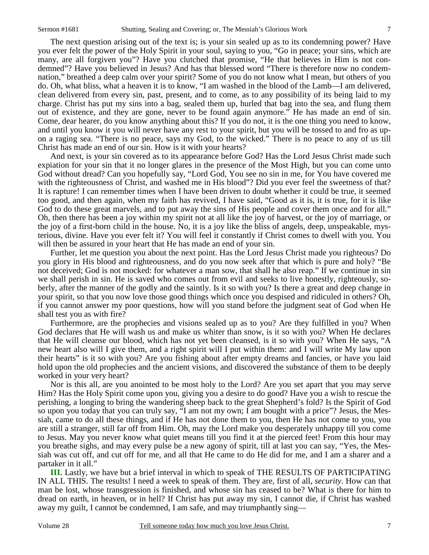The next question arising out of the text is; is your sin sealed up as to its condemning power? Have you ever felt the power of the Holy Spirit in your soul, saying to you, "Go in peace; your sins, which are many, are all forgiven you"? Have you clutched that promise, "He that believes in Him is not condemned"? Have you believed in Jesus? And has that blessed word "There is therefore now no condemnation," breathed a deep calm over your spirit? Some of you do not know what I mean, but others of you do. Oh, what bliss, what a heaven it is to know, "I am washed in the blood of the Lamb—I am delivered, clean delivered from every sin, past, present, and to come, as to any possibility of its being laid to my charge. Christ has put my sins into a bag, sealed them up, hurled that bag into the sea, and flung them

out of existence, and they are gone, never to be found again anymore." He has made an end of sin. Come, dear hearer, do you know anything about this? If you do not, it is the one thing you need to know, and until you know it you will never have any rest to your spirit, but you will be tossed to and fro as upon a raging sea. "There is no peace, says my God, to the wicked." There is no peace to any of us till Christ has made an end of our sin. How is it with your hearts?

 And next, is your sin covered as to its appearance before God? Has the Lord Jesus Christ made such expiation for your sin that it no longer glares in the presence of the Most High, but you can come unto God without dread? Can you hopefully say, "Lord God, You see no sin in me, for You have covered me with the righteousness of Christ, and washed me in His blood"? Did you ever feel the sweetness of that? It is rapture! I can remember times when I have been driven to doubt whether it could be true, it seemed too good, and then again, when my faith has revived, I have said, "Good as it is, it is true, for it is like God to do these great marvels, and to put away the sins of His people and cover them once and for all." Oh, then there has been a joy within my spirit not at all like the joy of harvest, or the joy of marriage, or the joy of a first-born child in the house. No, it is a joy like the bliss of angels, deep, unspeakable, mysterious, divine. Have you ever felt it? You will feel it constantly if Christ comes to dwell with you. You will then be assured in your heart that He has made an end of your sin.

 Further, let me question you about the next point. Has the Lord Jesus Christ made you righteous? Do you glory in His blood and righteousness, and do you now seek after that which is pure and holy? "Be not deceived; God is not mocked: for whatever a man sow, that shall he also reap." If we continue in sin we shall perish in sin. He is saved who comes out from evil and seeks to live honestly, righteously, soberly, after the manner of the godly and the saintly. Is it so with you? Is there a great and deep change in your spirit, so that you now love those good things which once you despised and ridiculed in others? Oh, if you cannot answer my poor questions, how will you stand before the judgment seat of God when He shall test you as with fire?

 Furthermore, are the prophecies and visions sealed up as to you? Are they fulfilled in you? When God declares that He will wash us and make us whiter than snow, is it so with you? When He declares that He will cleanse our blood, which has not yet been cleansed, is it so with you? When He says, "A new heart also will I give them, and a right spirit will I put within them: and I will write My law upon their hearts" is it so with you? Are you fishing about after empty dreams and fancies, or have you laid hold upon the old prophecies and the ancient visions, and discovered the substance of them to be deeply worked in your very heart?

 Nor is this all, are you anointed to be most holy to the Lord? Are you set apart that you may serve Him? Has the Holy Spirit come upon you, giving you a desire to do good? Have you a wish to rescue the perishing, a longing to bring the wandering sheep back to the great Shepherd's fold? Is the Spirit of God so upon you today that you can truly say, "I am not my own; I am bought with a price"? Jesus, the Messiah, came to do all these things, and if He has not done them to you, then He has not come to you, you are still a stranger, still far off from Him. Oh, may the Lord make you desperately unhappy till you come to Jesus. May you never know what quiet means till you find it at the pierced feet! From this hour may you breathe sighs, and may every pulse be a new agony of spirit, till at last you can say, "Yes, the Messiah was cut off, and cut off for me, and all that He came to do He did for me, and I am a sharer and a partaker in it all."

**III.** Lastly, we have but a brief interval in which to speak of THE RESULTS OF PARTICIPATING IN ALL THIS. The results! I need a week to speak of them. They are, first of all, *security*. How can that man be lost, whose transgression is finished, and whose sin has ceased to be? What is there for him to dread on earth, in heaven, or in hell? If Christ has put away my sin, I cannot die, if Christ has washed away my guilt, I cannot be condemned, I am safe, and may triumphantly sing—